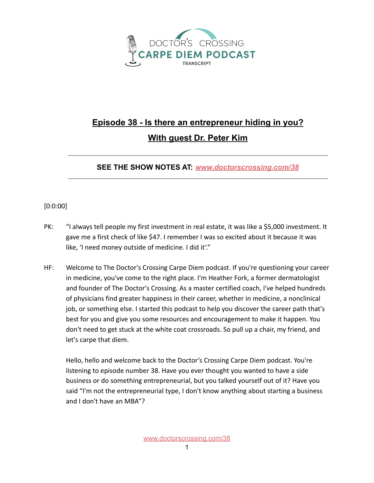

## **Episode 38 - Is there an entrepreneur hiding in you? With guest Dr. Peter Kim**

**SEE THE SHOW NOTES AT:** *[www.doctorscrossing.com/38](http://www.doctorscrossing.com/38)*

## [0:0:00]

- PK: "I always tell people my first investment in real estate, it was like a \$5,000 investment. It gave me a first check of like \$47. I remember I was so excited about it because it was like, 'I need money outside of medicine. I did it'."
- HF: Welcome to The Doctor's Crossing Carpe Diem podcast. If you're questioning your career in medicine, you've come to the right place. I'm Heather Fork, a former dermatologist and founder of The Doctor's Crossing. As a master certified coach, I've helped hundreds of physicians find greater happiness in their career, whether in medicine, a nonclinical job, or something else. I started this podcast to help you discover the career path that's best for you and give you some resources and encouragement to make it happen. You don't need to get stuck at the white coat crossroads. So pull up a chair, my friend, and let's carpe that diem.

Hello, hello and welcome back to the Doctor's Crossing Carpe Diem podcast. You're listening to episode number 38. Have you ever thought you wanted to have a side business or do something entrepreneurial, but you talked yourself out of it? Have you said "I'm not the entrepreneurial type, I don't know anything about starting a business and I don't have an MBA"?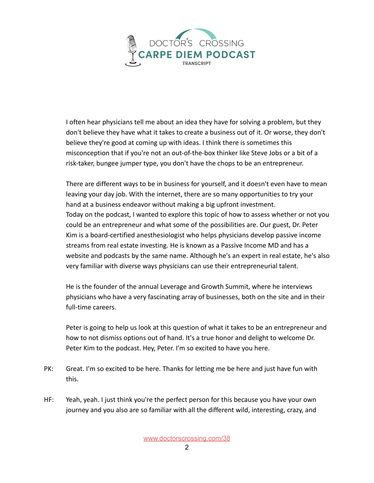

I often hear physicians tell me about an idea they have for solving a problem, but they don't believe they have what it takes to create a business out of it. Or worse, they don't believe they're good at coming up with ideas. I think there is sometimes this misconception that if you're not an out-of-the-box thinker like Steve Jobs or a bit of a risk-taker, bungee jumper type, you don't have the chops to be an entrepreneur.

There are different ways to be in business for yourself, and it doesn't even have to mean leaving your day job. With the internet, there are so many opportunities to try your hand at a business endeavor without making a big upfront investment. Today on the podcast, I wanted to explore this topic of how to assess whether or not you could be an entrepreneur and what some of the possibilities are. Our guest, Dr. Peter Kim is a board-certified anesthesiologist who helps physicians develop passive income streams from real estate investing. He is known as a Passive Income MD and has a website and podcasts by the same name. Although he's an expert in real estate, he's also very familiar with diverse ways physicians can use their entrepreneurial talent.

He is the founder of the annual Leverage and Growth Summit, where he interviews physicians who have a very fascinating array of businesses, both on the site and in their full-time careers.

Peter is going to help us look at this question of what it takes to be an entrepreneur and how to not dismiss options out of hand. It's a true honor and delight to welcome Dr. Peter Kim to the podcast. Hey, Peter. I'm so excited to have you here.

- PK: Great. I'm so excited to be here. Thanks for letting me be here and just have fun with this.
- HF: Yeah, yeah. I just think you're the perfect person for this because you have your own journey and you also are so familiar with all the different wild, interesting, crazy, and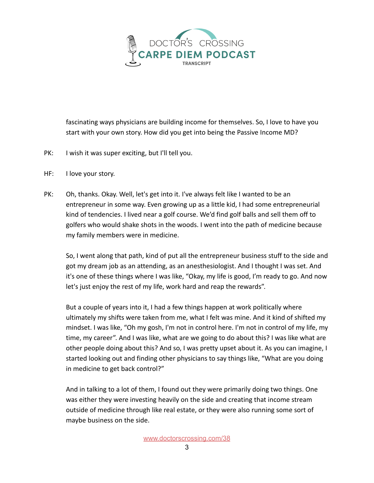

fascinating ways physicians are building income for themselves. So, I love to have you start with your own story. How did you get into being the Passive Income MD?

- PK: I wish it was super exciting, but I'll tell you.
- HF: I love your story.
- PK: Oh, thanks. Okay. Well, let's get into it. I've always felt like I wanted to be an entrepreneur in some way. Even growing up as a little kid, I had some entrepreneurial kind of tendencies. I lived near a golf course. We'd find golf balls and sell them off to golfers who would shake shots in the woods. I went into the path of medicine because my family members were in medicine.

So, I went along that path, kind of put all the entrepreneur business stuff to the side and got my dream job as an attending, as an anesthesiologist. And I thought I was set. And it's one of these things where I was like, "Okay, my life is good, I'm ready to go. And now let's just enjoy the rest of my life, work hard and reap the rewards".

But a couple of years into it, I had a few things happen at work politically where ultimately my shifts were taken from me, what I felt was mine. And it kind of shifted my mindset. I was like, "Oh my gosh, I'm not in control here. I'm not in control of my life, my time, my career". And I was like, what are we going to do about this? I was like what are other people doing about this? And so, I was pretty upset about it. As you can imagine, I started looking out and finding other physicians to say things like, "What are you doing in medicine to get back control?"

And in talking to a lot of them, I found out they were primarily doing two things. One was either they were investing heavily on the side and creating that income stream outside of medicine through like real estate, or they were also running some sort of maybe business on the side.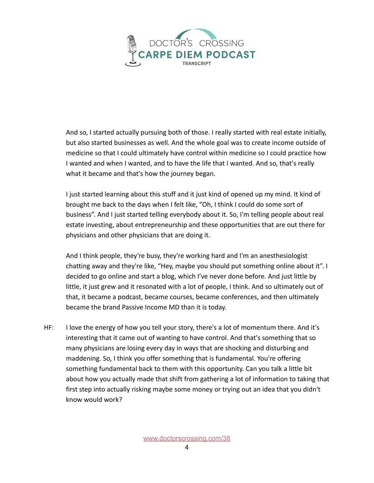

And so, I started actually pursuing both of those. I really started with real estate initially, but also started businesses as well. And the whole goal was to create income outside of medicine so that I could ultimately have control within medicine so I could practice how I wanted and when I wanted, and to have the life that I wanted. And so, that's really what it became and that's how the journey began.

I just started learning about this stuff and it just kind of opened up my mind. It kind of brought me back to the days when I felt like, "Oh, I think I could do some sort of business". And I just started telling everybody about it. So, I'm telling people about real estate investing, about entrepreneurship and these opportunities that are out there for physicians and other physicians that are doing it.

And I think people, they're busy, they're working hard and I'm an anesthesiologist chatting away and they're like, "Hey, maybe you should put something online about it". I decided to go online and start a blog, which I've never done before. And just little by little, it just grew and it resonated with a lot of people, I think. And so ultimately out of that, it became a podcast, became courses, became conferences, and then ultimately became the brand Passive Income MD than it is today.

HF: I love the energy of how you tell your story, there's a lot of momentum there. And it's interesting that it came out of wanting to have control. And that's something that so many physicians are losing every day in ways that are shocking and disturbing and maddening. So, I think you offer something that is fundamental. You're offering something fundamental back to them with this opportunity. Can you talk a little bit about how you actually made that shift from gathering a lot of information to taking that first step into actually risking maybe some money or trying out an idea that you didn't know would work?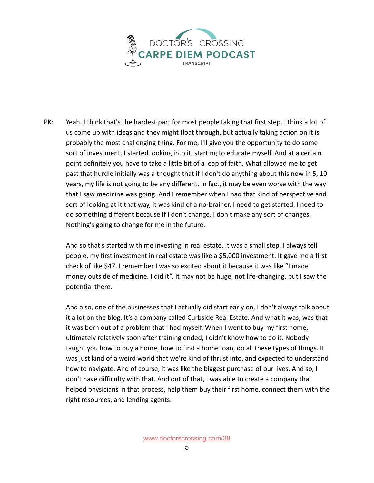

PK: Yeah. I think that's the hardest part for most people taking that first step. I think a lot of us come up with ideas and they might float through, but actually taking action on it is probably the most challenging thing. For me, I'll give you the opportunity to do some sort of investment. I started looking into it, starting to educate myself. And at a certain point definitely you have to take a little bit of a leap of faith. What allowed me to get past that hurdle initially was a thought that if I don't do anything about this now in 5, 10 years, my life is not going to be any different. In fact, it may be even worse with the way that I saw medicine was going. And I remember when I had that kind of perspective and sort of looking at it that way, it was kind of a no-brainer. I need to get started. I need to do something different because if I don't change, I don't make any sort of changes. Nothing's going to change for me in the future.

And so that's started with me investing in real estate. It was a small step. I always tell people, my first investment in real estate was like a \$5,000 investment. It gave me a first check of like \$47. I remember I was so excited about it because it was like "I made money outside of medicine. I did it". It may not be huge, not life-changing, but I saw the potential there.

And also, one of the businesses that I actually did start early on, I don't always talk about it a lot on the blog. It's a company called Curbside Real Estate. And what it was, was that it was born out of a problem that I had myself. When I went to buy my first home, ultimately relatively soon after training ended, I didn't know how to do it. Nobody taught you how to buy a home, how to find a home loan, do all these types of things. It was just kind of a weird world that we're kind of thrust into, and expected to understand how to navigate. And of course, it was like the biggest purchase of our lives. And so, I don't have difficulty with that. And out of that, I was able to create a company that helped physicians in that process, help them buy their first home, connect them with the right resources, and lending agents.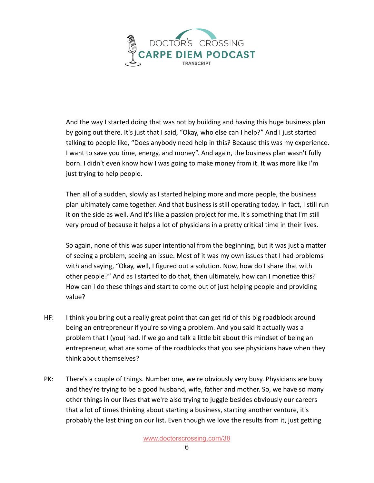

And the way I started doing that was not by building and having this huge business plan by going out there. It's just that I said, "Okay, who else can I help?" And I just started talking to people like, "Does anybody need help in this? Because this was my experience. I want to save you time, energy, and money". And again, the business plan wasn't fully born. I didn't even know how I was going to make money from it. It was more like I'm just trying to help people.

Then all of a sudden, slowly as I started helping more and more people, the business plan ultimately came together. And that business is still operating today. In fact, I still run it on the side as well. And it's like a passion project for me. It's something that I'm still very proud of because it helps a lot of physicians in a pretty critical time in their lives.

So again, none of this was super intentional from the beginning, but it was just a matter of seeing a problem, seeing an issue. Most of it was my own issues that I had problems with and saying, "Okay, well, I figured out a solution. Now, how do I share that with other people?" And as I started to do that, then ultimately, how can I monetize this? How can I do these things and start to come out of just helping people and providing value?

- HF: I think you bring out a really great point that can get rid of this big roadblock around being an entrepreneur if you're solving a problem. And you said it actually was a problem that I (you) had. If we go and talk a little bit about this mindset of being an entrepreneur, what are some of the roadblocks that you see physicians have when they think about themselves?
- PK: There's a couple of things. Number one, we're obviously very busy. Physicians are busy and they're trying to be a good husband, wife, father and mother. So, we have so many other things in our lives that we're also trying to juggle besides obviously our careers that a lot of times thinking about starting a business, starting another venture, it's probably the last thing on our list. Even though we love the results from it, just getting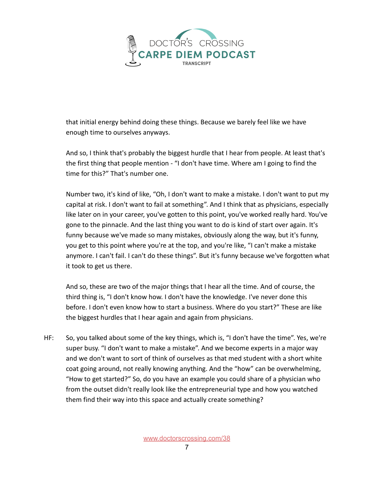

that initial energy behind doing these things. Because we barely feel like we have enough time to ourselves anyways.

And so, I think that's probably the biggest hurdle that I hear from people. At least that's the first thing that people mention - "I don't have time. Where am I going to find the time for this?" That's number one.

Number two, it's kind of like, "Oh, I don't want to make a mistake. I don't want to put my capital at risk. I don't want to fail at something". And I think that as physicians, especially like later on in your career, you've gotten to this point, you've worked really hard. You've gone to the pinnacle. And the last thing you want to do is kind of start over again. It's funny because we've made so many mistakes, obviously along the way, but it's funny, you get to this point where you're at the top, and you're like, "I can't make a mistake anymore. I can't fail. I can't do these things". But it's funny because we've forgotten what it took to get us there.

And so, these are two of the major things that I hear all the time. And of course, the third thing is, "I don't know how. I don't have the knowledge. I've never done this before. I don't even know how to start a business. Where do you start?" These are like the biggest hurdles that I hear again and again from physicians.

HF: So, you talked about some of the key things, which is, "I don't have the time". Yes, we're super busy. "I don't want to make a mistake". And we become experts in a major way and we don't want to sort of think of ourselves as that med student with a short white coat going around, not really knowing anything. And the "how" can be overwhelming, "How to get started?" So, do you have an example you could share of a physician who from the outset didn't really look like the entrepreneurial type and how you watched them find their way into this space and actually create something?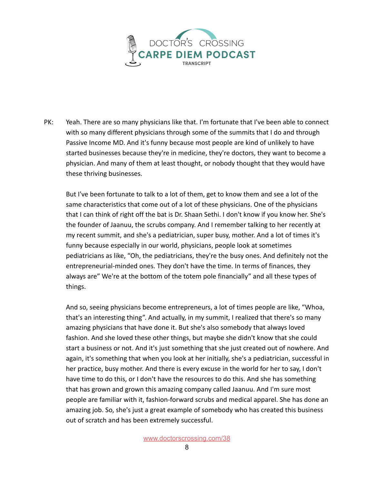

PK: Yeah. There are so many physicians like that. I'm fortunate that I've been able to connect with so many different physicians through some of the summits that I do and through Passive Income MD. And it's funny because most people are kind of unlikely to have started businesses because they're in medicine, they're doctors, they want to become a physician. And many of them at least thought, or nobody thought that they would have these thriving businesses.

But I've been fortunate to talk to a lot of them, get to know them and see a lot of the same characteristics that come out of a lot of these physicians. One of the physicians that I can think of right off the bat is Dr. Shaan Sethi. I don't know if you know her. She's the founder of Jaanuu, the scrubs company. And I remember talking to her recently at my recent summit, and she's a pediatrician, super busy, mother. And a lot of times it's funny because especially in our world, physicians, people look at sometimes pediatricians as like, "Oh, the pediatricians, they're the busy ones. And definitely not the entrepreneurial-minded ones. They don't have the time. In terms of finances, they always are" We're at the bottom of the totem pole financially" and all these types of things.

And so, seeing physicians become entrepreneurs, a lot of times people are like, "Whoa, that's an interesting thing". And actually, in my summit, I realized that there's so many amazing physicians that have done it. But she's also somebody that always loved fashion. And she loved these other things, but maybe she didn't know that she could start a business or not. And it's just something that she just created out of nowhere. And again, it's something that when you look at her initially, she's a pediatrician, successful in her practice, busy mother. And there is every excuse in the world for her to say, I don't have time to do this, or I don't have the resources to do this. And she has something that has grown and grown this amazing company called Jaanuu. And I'm sure most people are familiar with it, fashion-forward scrubs and medical apparel. She has done an amazing job. So, she's just a great example of somebody who has created this business out of scratch and has been extremely successful.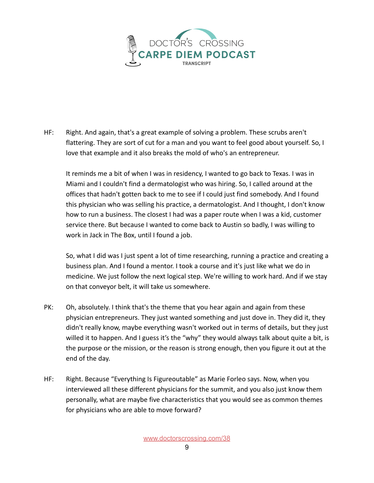

HF: Right. And again, that's a great example of solving a problem. These scrubs aren't flattering. They are sort of cut for a man and you want to feel good about yourself. So, I love that example and it also breaks the mold of who's an entrepreneur.

It reminds me a bit of when I was in residency, I wanted to go back to Texas. I was in Miami and I couldn't find a dermatologist who was hiring. So, I called around at the offices that hadn't gotten back to me to see if I could just find somebody. And I found this physician who was selling his practice, a dermatologist. And I thought, I don't know how to run a business. The closest I had was a paper route when I was a kid, customer service there. But because I wanted to come back to Austin so badly, I was willing to work in Jack in The Box, until I found a job.

So, what I did was I just spent a lot of time researching, running a practice and creating a business plan. And I found a mentor. I took a course and it's just like what we do in medicine. We just follow the next logical step. We're willing to work hard. And if we stay on that conveyor belt, it will take us somewhere.

- PK: Oh, absolutely. I think that's the theme that you hear again and again from these physician entrepreneurs. They just wanted something and just dove in. They did it, they didn't really know, maybe everything wasn't worked out in terms of details, but they just willed it to happen. And I guess it's the "why" they would always talk about quite a bit, is the purpose or the mission, or the reason is strong enough, then you figure it out at the end of the day.
- HF: Right. Because "Everything Is Figureoutable" as Marie Forleo says. Now, when you interviewed all these different physicians for the summit, and you also just know them personally, what are maybe five characteristics that you would see as common themes for physicians who are able to move forward?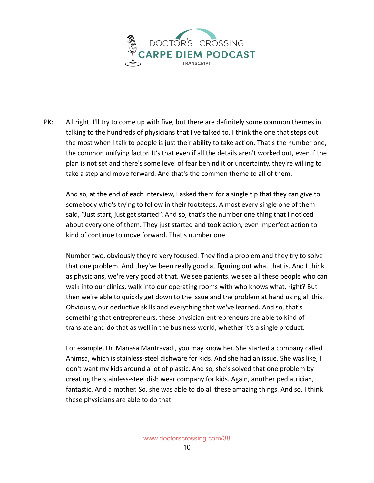

PK: All right. I'll try to come up with five, but there are definitely some common themes in talking to the hundreds of physicians that I've talked to. I think the one that steps out the most when I talk to people is just their ability to take action. That's the number one, the common unifying factor. It's that even if all the details aren't worked out, even if the plan is not set and there's some level of fear behind it or uncertainty, they're willing to take a step and move forward. And that's the common theme to all of them.

And so, at the end of each interview, I asked them for a single tip that they can give to somebody who's trying to follow in their footsteps. Almost every single one of them said, "Just start, just get started". And so, that's the number one thing that I noticed about every one of them. They just started and took action, even imperfect action to kind of continue to move forward. That's number one.

Number two, obviously they're very focused. They find a problem and they try to solve that one problem. And they've been really good at figuring out what that is. And I think as physicians, we're very good at that. We see patients, we see all these people who can walk into our clinics, walk into our operating rooms with who knows what, right? But then we're able to quickly get down to the issue and the problem at hand using all this. Obviously, our deductive skills and everything that we've learned. And so, that's something that entrepreneurs, these physician entrepreneurs are able to kind of translate and do that as well in the business world, whether it's a single product.

For example, Dr. Manasa Mantravadi, you may know her. She started a company called Ahimsa, which is stainless-steel dishware for kids. And she had an issue. She was like, I don't want my kids around a lot of plastic. And so, she's solved that one problem by creating the stainless-steel dish wear company for kids. Again, another pediatrician, fantastic. And a mother. So, she was able to do all these amazing things. And so, I think these physicians are able to do that.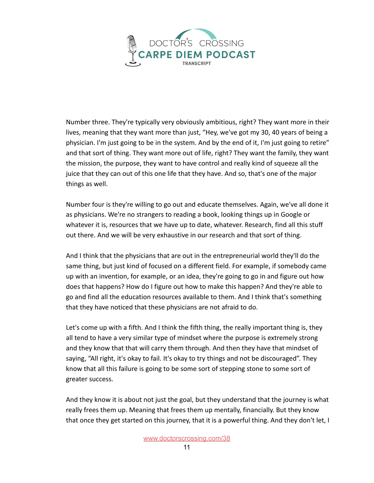

Number three. They're typically very obviously ambitious, right? They want more in their lives, meaning that they want more than just, "Hey, we've got my 30, 40 years of being a physician. I'm just going to be in the system. And by the end of it, I'm just going to retire" and that sort of thing. They want more out of life, right? They want the family, they want the mission, the purpose, they want to have control and really kind of squeeze all the juice that they can out of this one life that they have. And so, that's one of the major things as well.

Number four is they're willing to go out and educate themselves. Again, we've all done it as physicians. We're no strangers to reading a book, looking things up in Google or whatever it is, resources that we have up to date, whatever. Research, find all this stuff out there. And we will be very exhaustive in our research and that sort of thing.

And I think that the physicians that are out in the entrepreneurial world they'll do the same thing, but just kind of focused on a different field. For example, if somebody came up with an invention, for example, or an idea, they're going to go in and figure out how does that happens? How do I figure out how to make this happen? And they're able to go and find all the education resources available to them. And I think that's something that they have noticed that these physicians are not afraid to do.

Let's come up with a fifth. And I think the fifth thing, the really important thing is, they all tend to have a very similar type of mindset where the purpose is extremely strong and they know that that will carry them through. And then they have that mindset of saying, "All right, it's okay to fail. It's okay to try things and not be discouraged". They know that all this failure is going to be some sort of stepping stone to some sort of greater success.

And they know it is about not just the goal, but they understand that the journey is what really frees them up. Meaning that frees them up mentally, financially. But they know that once they get started on this journey, that it is a powerful thing. And they don't let, I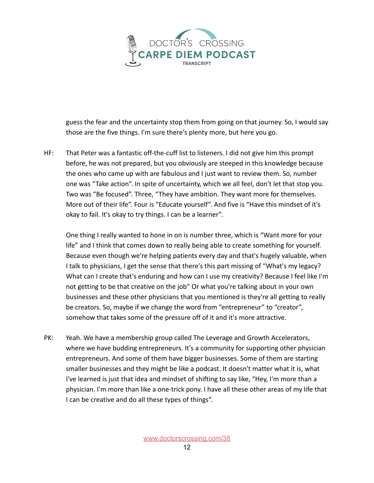

guess the fear and the uncertainty stop them from going on that journey. So, I would say those are the five things. I'm sure there's plenty more, but here you go.

HF: That Peter was a fantastic off-the-cuff list to listeners. I did not give him this prompt before, he was not prepared, but you obviously are steeped in this knowledge because the ones who came up with are fabulous and I just want to review them. So, number one was "Take action". In spite of uncertainty, which we all feel, don't let that stop you. Two was "Be focused". Three, "They have ambition. They want more for themselves. More out of their life". Four is "Educate yourself". And five is "Have this mindset of it's okay to fail. It's okay to try things. I can be a learner".

One thing I really wanted to hone in on is number three, which is "Want more for your life" and I think that comes down to really being able to create something for yourself. Because even though we're helping patients every day and that's hugely valuable, when I talk to physicians, I get the sense that there's this part missing of "What's my legacy? What can I create that's enduring and how can I use my creativity? Because I feel like I'm not getting to be that creative on the job" Or what you're talking about in your own businesses and these other physicians that you mentioned is they're all getting to really be creators. So, maybe if we change the word from "entrepreneur" to "creator", somehow that takes some of the pressure off of it and it's more attractive.

PK: Yeah. We have a membership group called The Leverage and Growth Accelerators, where we have budding entrepreneurs. It's a community for supporting other physician entrepreneurs. And some of them have bigger businesses. Some of them are starting smaller businesses and they might be like a podcast. It doesn't matter what it is, what I've learned is just that idea and mindset of shifting to say like, "Hey, I'm more than a physician. I'm more than like a one-trick pony. I have all these other areas of my life that I can be creative and do all these types of things".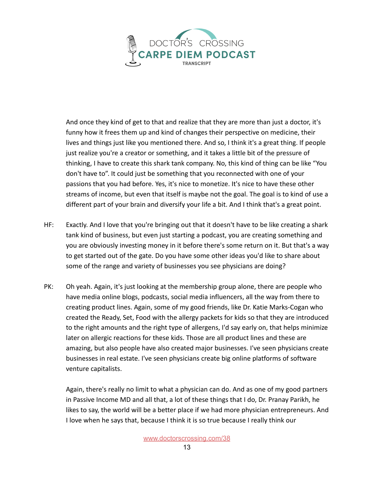

And once they kind of get to that and realize that they are more than just a doctor, it's funny how it frees them up and kind of changes their perspective on medicine, their lives and things just like you mentioned there. And so, I think it's a great thing. If people just realize you're a creator or something, and it takes a little bit of the pressure of thinking, I have to create this shark tank company. No, this kind of thing can be like "You don't have to". It could just be something that you reconnected with one of your passions that you had before. Yes, it's nice to monetize. It's nice to have these other streams of income, but even that itself is maybe not the goal. The goal is to kind of use a different part of your brain and diversify your life a bit. And I think that's a great point.

- HF: Exactly. And I love that you're bringing out that it doesn't have to be like creating a shark tank kind of business, but even just starting a podcast, you are creating something and you are obviously investing money in it before there's some return on it. But that's a way to get started out of the gate. Do you have some other ideas you'd like to share about some of the range and variety of businesses you see physicians are doing?
- PK: Oh yeah. Again, it's just looking at the membership group alone, there are people who have media online blogs, podcasts, social media influencers, all the way from there to creating product lines. Again, some of my good friends, like Dr. Katie Marks-Cogan who created the Ready, Set, Food with the allergy packets for kids so that they are introduced to the right amounts and the right type of allergens, I'd say early on, that helps minimize later on allergic reactions for these kids. Those are all product lines and these are amazing, but also people have also created major businesses. I've seen physicians create businesses in real estate. I've seen physicians create big online platforms of software venture capitalists.

Again, there's really no limit to what a physician can do. And as one of my good partners in Passive Income MD and all that, a lot of these things that I do, Dr. Pranay Parikh, he likes to say, the world will be a better place if we had more physician entrepreneurs. And I love when he says that, because I think it is so true because I really think our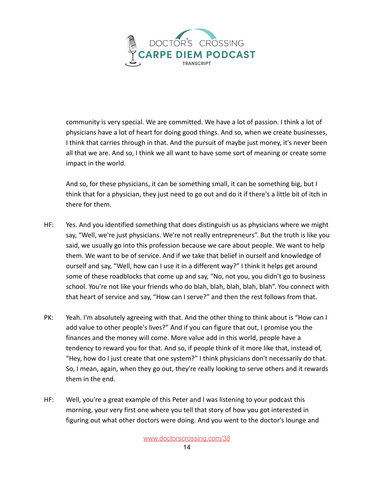

community is very special. We are committed. We have a lot of passion. I think a lot of physicians have a lot of heart for doing good things. And so, when we create businesses, I think that carries through in that. And the pursuit of maybe just money, it's never been all that we are. And so, I think we all want to have some sort of meaning or create some impact in the world.

And so, for these physicians, it can be something small, it can be something big, but I think that for a physician, they just need to go out and do it if there's a little bit of itch in there for them.

- HF: Yes. And you identified something that does distinguish us as physicians where we might say, "Well, we're just physicians. We're not really entrepreneurs". But the truth is like you said, we usually go into this profession because we care about people. We want to help them. We want to be of service. And if we take that belief in ourself and knowledge of ourself and say, "Well, how can I use it in a different way?" I think it helps get around some of these roadblocks that come up and say, "No, not you, you didn't go to business school. You're not like your friends who do blah, blah, blah, blah, blah". You connect with that heart of service and say, "How can I serve?" and then the rest follows from that.
- PK: Yeah. I'm absolutely agreeing with that. And the other thing to think about is "How can I add value to other people's lives?" And if you can figure that out, I promise you the finances and the money will come. More value add in this world, people have a tendency to reward you for that. And so, if people think of it more like that, instead of, "Hey, how do I just create that one system?" I think physicians don't necessarily do that. So, I mean, again, when they go out, they're really looking to serve others and it rewards them in the end.
- HF: Well, you're a great example of this Peter and I was listening to your podcast this morning, your very first one where you tell that story of how you got interested in figuring out what other doctors were doing. And you went to the doctor's lounge and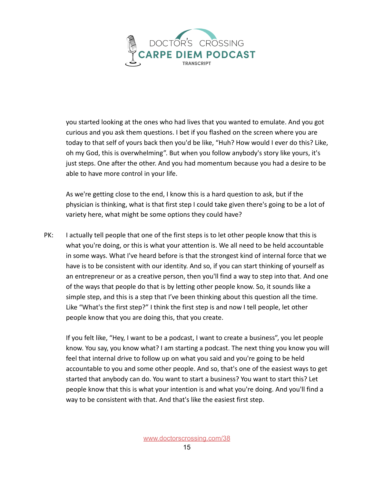

you started looking at the ones who had lives that you wanted to emulate. And you got curious and you ask them questions. I bet if you flashed on the screen where you are today to that self of yours back then you'd be like, "Huh? How would I ever do this? Like, oh my God, this is overwhelming". But when you follow anybody's story like yours, it's just steps. One after the other. And you had momentum because you had a desire to be able to have more control in your life.

As we're getting close to the end, I know this is a hard question to ask, but if the physician is thinking, what is that first step I could take given there's going to be a lot of variety here, what might be some options they could have?

PK: I actually tell people that one of the first steps is to let other people know that this is what you're doing, or this is what your attention is. We all need to be held accountable in some ways. What I've heard before is that the strongest kind of internal force that we have is to be consistent with our identity. And so, if you can start thinking of yourself as an entrepreneur or as a creative person, then you'll find a way to step into that. And one of the ways that people do that is by letting other people know. So, it sounds like a simple step, and this is a step that I've been thinking about this question all the time. Like "What's the first step?" I think the first step is and now I tell people, let other people know that you are doing this, that you create.

If you felt like, "Hey, I want to be a podcast, I want to create a business", you let people know. You say, you know what? I am starting a podcast. The next thing you know you will feel that internal drive to follow up on what you said and you're going to be held accountable to you and some other people. And so, that's one of the easiest ways to get started that anybody can do. You want to start a business? You want to start this? Let people know that this is what your intention is and what you're doing. And you'll find a way to be consistent with that. And that's like the easiest first step.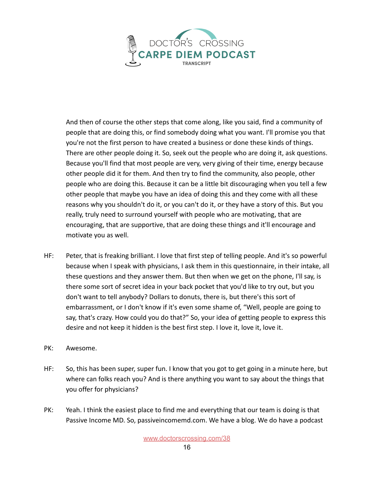

And then of course the other steps that come along, like you said, find a community of people that are doing this, or find somebody doing what you want. I'll promise you that you're not the first person to have created a business or done these kinds of things. There are other people doing it. So, seek out the people who are doing it, ask questions. Because you'll find that most people are very, very giving of their time, energy because other people did it for them. And then try to find the community, also people, other people who are doing this. Because it can be a little bit discouraging when you tell a few other people that maybe you have an idea of doing this and they come with all these reasons why you shouldn't do it, or you can't do it, or they have a story of this. But you really, truly need to surround yourself with people who are motivating, that are encouraging, that are supportive, that are doing these things and it'll encourage and motivate you as well.

- HF: Peter, that is freaking brilliant. I love that first step of telling people. And it's so powerful because when I speak with physicians, I ask them in this questionnaire, in their intake, all these questions and they answer them. But then when we get on the phone, I'll say, is there some sort of secret idea in your back pocket that you'd like to try out, but you don't want to tell anybody? Dollars to donuts, there is, but there's this sort of embarrassment, or I don't know if it's even some shame of, "Well, people are going to say, that's crazy. How could you do that?" So, your idea of getting people to express this desire and not keep it hidden is the best first step. I love it, love it, love it.
- PK: Awesome.
- HF: So, this has been super, super fun. I know that you got to get going in a minute here, but where can folks reach you? And is there anything you want to say about the things that you offer for physicians?
- PK: Yeah. I think the easiest place to find me and everything that our team is doing is that Passive Income MD. So, passiveincomemd.com. We have a blog. We do have a podcast